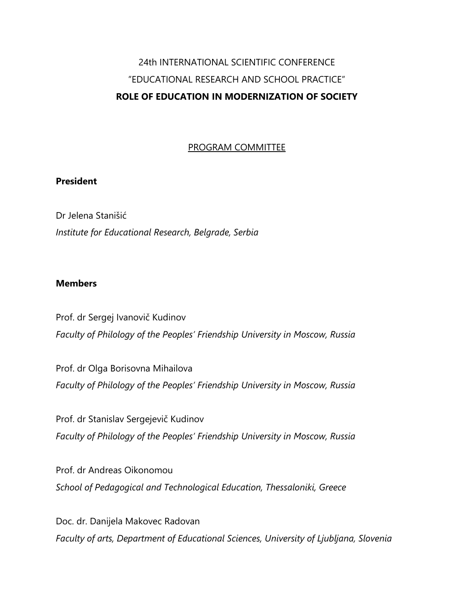# 24th INTERNATIONAL SCIENTIFIC CONFERENCE "EDUCATIONAL RESEARCH AND SCHOOL PRACTICE" **ROLE OF EDUCATION IN MODERNIZATION OF SOCIETY**

#### PROGRAM COMMITTEE

#### **President**

Dr Jelena Stanišić *Institute for Educational Research, Belgrade, Serbia*

#### **Members**

Prof. dr Sergej Ivanovič Kudinov *Faculty of Philology of the Peoples' Friendship University in Moscow, Russia*

Prof. dr Olga Borisovna Mihailova *Faculty of Philology of the Peoples' Friendship University in Moscow, Russia*

Prof. dr Stanislav Sergejevič Kudinov *Faculty of Philology of the Peoples' Friendship University in Moscow, Russia*

Prof. dr Andreas Oikonomou *School of Pedagogical and Technological Education, Thessaloniki, Greece*

Doc. dr. Danijela Makovec Radovan *Faculty of arts, Department of Educational Sciences, University of Ljubljana, Slovenia*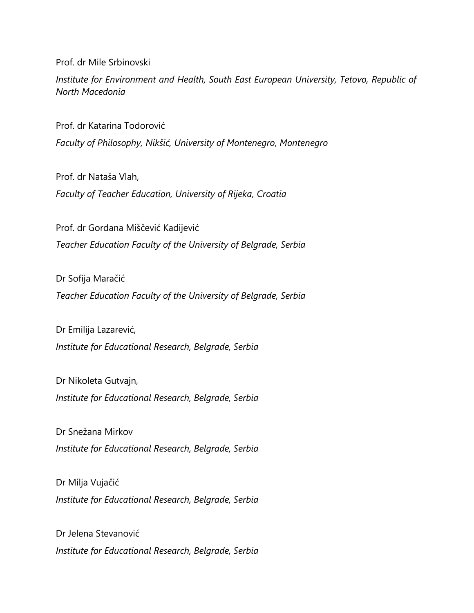Prof. dr Mile Srbinovski

*Institute for Environment and Health, South East European University, Tetovo, Republic of North Macedonia*

Prof. dr Katarina Todorović

*Faculty of Philosophy, Nikšić, University of Montenegro, Montenegro*

Prof. dr Nataša Vlah, *Faculty of Teacher Education, University of Rijeka, Croatia*

Prof. dr Gordana Miščević Kadijević *Teacher Education Faculty of the University of Belgrade, Serbia*

Dr Sofija Maračić *Teacher Education Faculty of the University of Belgrade, Serbia*

Dr Emilija Lazarević, *Institute for Educational Research, Belgrade, Serbia*

Dr Nikoleta Gutvajn, *Institute for Educational Research, Belgrade, Serbia*

Dr Snežana Mirkov *Institute for Educational Research, Belgrade, Serbia*

Dr Milja Vujačić *Institute for Educational Research, Belgrade, Serbia*

Dr Jelena Stevanović *Institute for Educational Research, Belgrade, Serbia*